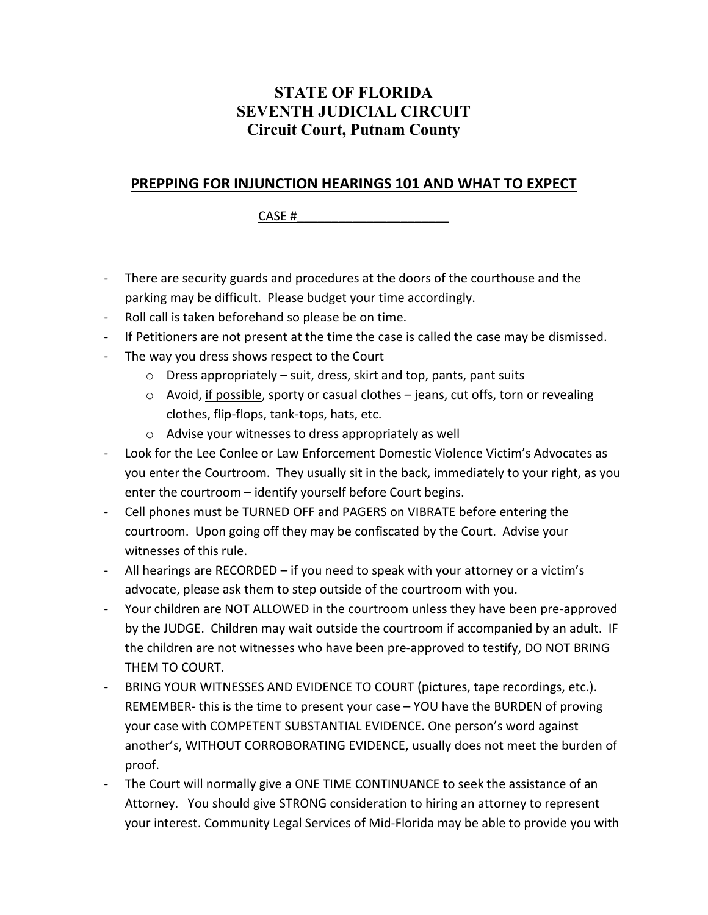## **STATE OF FLORIDA SEVENTH JUDICIAL CIRCUIT Circuit Court, Putnam County**

### **PREPPING FOR INJUNCTION HEARINGS 101 AND WHAT TO EXPECT**

CASE  $#$ 

- There are security guards and procedures at the doors of the courthouse and the parking may be difficult. Please budget your time accordingly.
- Roll call is taken beforehand so please be on time.
- If Petitioners are not present at the time the case is called the case may be dismissed.
- The way you dress shows respect to the Court
	- $\circ$  Dress appropriately suit, dress, skirt and top, pants, pant suits
	- $\circ$  Avoid, if possible, sporty or casual clothes jeans, cut offs, torn or revealing clothes, flip-flops, tank-tops, hats, etc.
	- o Advise your witnesses to dress appropriately as well
- Look for the Lee Conlee or Law Enforcement Domestic Violence Victim's Advocates as you enter the Courtroom. They usually sit in the back, immediately to your right, as you enter the courtroom – identify yourself before Court begins.
- Cell phones must be TURNED OFF and PAGERS on VIBRATE before entering the courtroom. Upon going off they may be confiscated by the Court. Advise your witnesses of this rule.
- All hearings are RECORDED if you need to speak with your attorney or a victim's advocate, please ask them to step outside of the courtroom with you.
- Your children are NOT ALLOWED in the courtroom unless they have been pre-approved by the JUDGE. Children may wait outside the courtroom if accompanied by an adult. IF the children are not witnesses who have been pre-approved to testify, DO NOT BRING THEM TO COURT.
- BRING YOUR WITNESSES AND EVIDENCE TO COURT (pictures, tape recordings, etc.). REMEMBER- this is the time to present your case – YOU have the BURDEN of proving your case with COMPETENT SUBSTANTIAL EVIDENCE. One person's word against another's, WITHOUT CORROBORATING EVIDENCE, usually does not meet the burden of proof.
- The Court will normally give a ONE TIME CONTINUANCE to seek the assistance of an Attorney. You should give STRONG consideration to hiring an attorney to represent your interest. Community Legal Services of Mid-Florida may be able to provide you with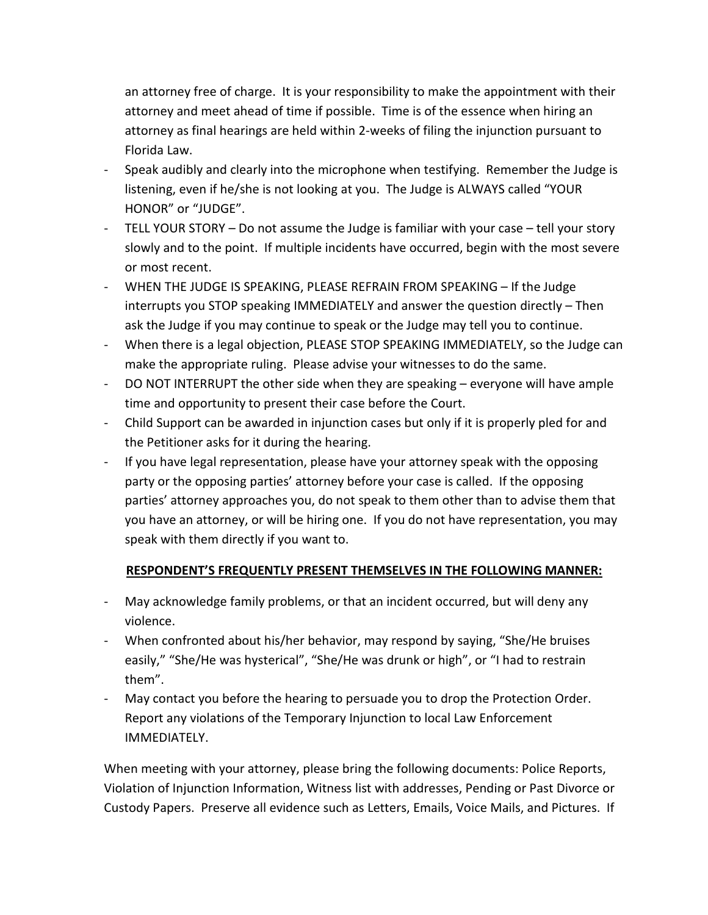an attorney free of charge. It is your responsibility to make the appointment with their attorney and meet ahead of time if possible. Time is of the essence when hiring an attorney as final hearings are held within 2-weeks of filing the injunction pursuant to Florida Law.

- Speak audibly and clearly into the microphone when testifying. Remember the Judge is listening, even if he/she is not looking at you. The Judge is ALWAYS called "YOUR HONOR" or "JUDGE".
- TELL YOUR STORY Do not assume the Judge is familiar with your case tell your story slowly and to the point. If multiple incidents have occurred, begin with the most severe or most recent.
- WHEN THE JUDGE IS SPEAKING, PLEASE REFRAIN FROM SPEAKING If the Judge interrupts you STOP speaking IMMEDIATELY and answer the question directly – Then ask the Judge if you may continue to speak or the Judge may tell you to continue.
- When there is a legal objection, PLEASE STOP SPEAKING IMMEDIATELY, so the Judge can make the appropriate ruling. Please advise your witnesses to do the same.
- DO NOT INTERRUPT the other side when they are speaking everyone will have ample time and opportunity to present their case before the Court.
- Child Support can be awarded in injunction cases but only if it is properly pled for and the Petitioner asks for it during the hearing.
- If you have legal representation, please have your attorney speak with the opposing party or the opposing parties' attorney before your case is called. If the opposing parties' attorney approaches you, do not speak to them other than to advise them that you have an attorney, or will be hiring one. If you do not have representation, you may speak with them directly if you want to.

#### **RESPONDENT'S FREQUENTLY PRESENT THEMSELVES IN THE FOLLOWING MANNER:**

- May acknowledge family problems, or that an incident occurred, but will deny any violence.
- When confronted about his/her behavior, may respond by saying, "She/He bruises easily," "She/He was hysterical", "She/He was drunk or high", or "I had to restrain them".
- May contact you before the hearing to persuade you to drop the Protection Order. Report any violations of the Temporary Injunction to local Law Enforcement IMMEDIATELY.

When meeting with your attorney, please bring the following documents: Police Reports, Violation of Injunction Information, Witness list with addresses, Pending or Past Divorce or Custody Papers. Preserve all evidence such as Letters, Emails, Voice Mails, and Pictures. If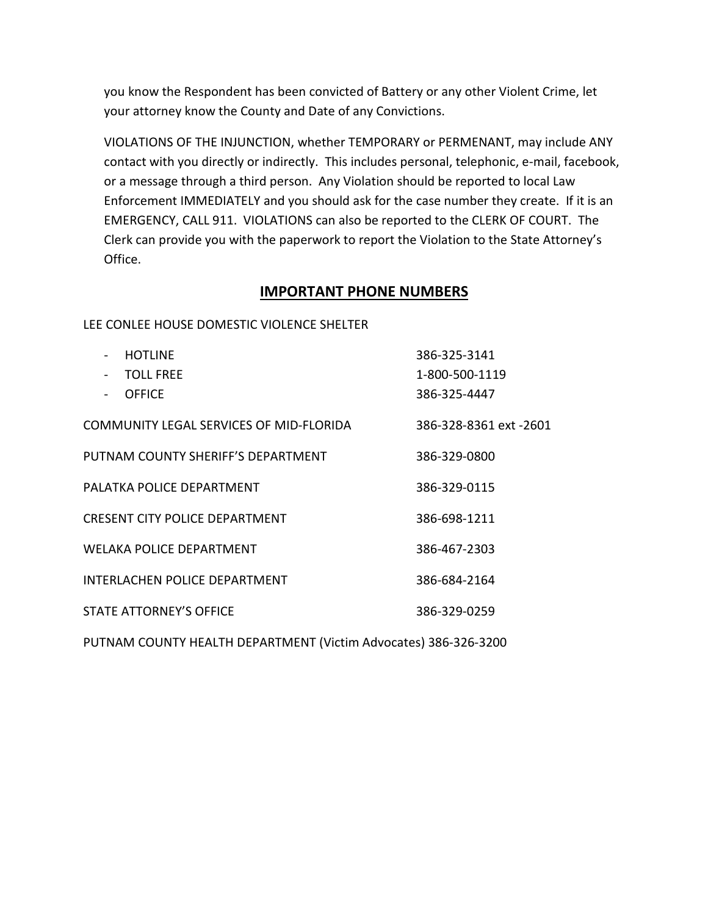you know the Respondent has been convicted of Battery or any other Violent Crime, let your attorney know the County and Date of any Convictions.

VIOLATIONS OF THE INJUNCTION, whether TEMPORARY or PERMENANT, may include ANY contact with you directly or indirectly. This includes personal, telephonic, e-mail, facebook, or a message through a third person. Any Violation should be reported to local Law Enforcement IMMEDIATELY and you should ask for the case number they create. If it is an EMERGENCY, CALL 911. VIOLATIONS can also be reported to the CLERK OF COURT. The Clerk can provide you with the paperwork to report the Violation to the State Attorney's Office.

#### **IMPORTANT PHONE NUMBERS**

LEE CONLEE HOUSE DOMESTIC VIOLENCE SHELTER

| <b>HOTLINE</b>                          | 386-325-3141           |
|-----------------------------------------|------------------------|
| <b>TOLL FRFF</b>                        | 1-800-500-1119         |
| <b>OFFICE</b>                           | 386-325-4447           |
| COMMUNITY LEGAL SERVICES OF MID-FLORIDA | 386-328-8361 ext -2601 |
| PUTNAM COUNTY SHERIFF'S DEPARTMENT      | 386-329-0800           |
| PALATKA POLICE DEPARTMENT               | 386-329-0115           |
| CRESENT CITY POLICE DEPARTMENT          | 386-698-1211           |
| WELAKA POLICE DEPARTMENT                | 386-467-2303           |
| INTERLACHEN POLICE DEPARTMENT           | 386-684-2164           |
| <b>STATE ATTORNEY'S OFFICE</b>          | 386-329-0259           |

PUTNAM COUNTY HEALTH DEPARTMENT (Victim Advocates) 386-326-3200